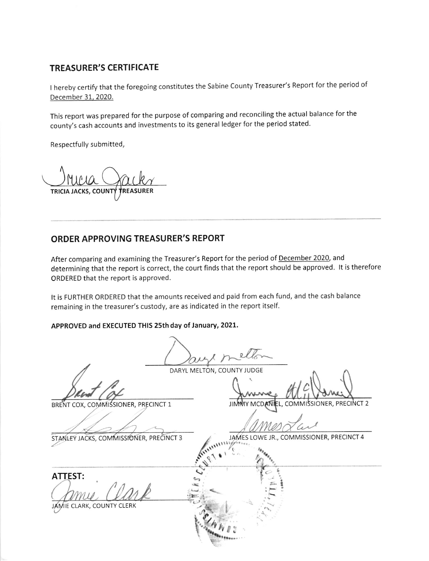## **TREASURER'S CERTIFICATE**

I hereby certify that the foregoing constitutes the Sabine County Treasurer's Report for the period of December 31, 2020.

This report was prepared for the purpose of comparing and reconciling the actual balance for the county's cash accounts and investments to its general ledger for the period stated.

Respectfully submitted,

**TRICIA JACKS, COUNT REASURER** 

## **ORDER APPROVING TREASURER'S REPORT**

After comparing and examining the Treasurer's Report for the period of December 2020, and determining that the report is correct, the court finds that the report should be approved. It is therefore ORDERED that the report is approved.

It is FURTHER ORDERED that the amounts received and paid from each fund, and the cash balance remaining in the treasurer's custody, are as indicated in the report itself.

APPROVED and EXECUTED THIS 25th day of January, 2021.

DARYL MELTON, COUNTY JUDGE

BRENT COX, COMMISSIONER, PRECINCT 1

 $\pmb{\mathsf{t}}$ 

L, COMMISSIONER, PRECINCT 2

STANLEY JACKS, COMMISSIONER, PRECINCT 3

JAMES LOWE JR., COMMISSIONER, PRECINCT 4

**ATTEST:** 

JAMIE CLARK, COUNTY CLERK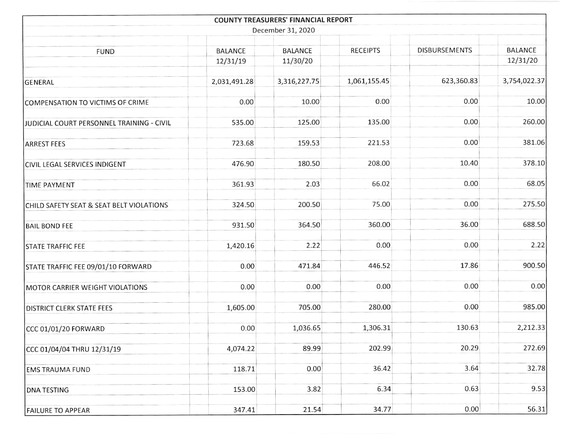|                                           |                            | <b>COUNTY TREASURERS' FINANCIAL REPORT</b> |                 |                      |                            |  |  |  |
|-------------------------------------------|----------------------------|--------------------------------------------|-----------------|----------------------|----------------------------|--|--|--|
| December 31, 2020                         |                            |                                            |                 |                      |                            |  |  |  |
| <b>FUND</b>                               | <b>BALANCE</b><br>12/31/19 | <b>BALANCE</b><br>11/30/20                 | <b>RECEIPTS</b> | <b>DISBURSEMENTS</b> | <b>BALANCE</b><br>12/31/20 |  |  |  |
| GENERAL                                   | 2,031,491.28               | 3,316,227.75                               | 1,061,155.45    | 623,360.83           | 3,754,022.37               |  |  |  |
| COMPENSATION TO VICTIMS OF CRIME          | 0.00                       | 10.00                                      | 0.00            | 0.00                 | 10.00                      |  |  |  |
| JUDICIAL COURT PERSONNEL TRAINING - CIVIL | 535.00                     | 125.00                                     | 135.00          | 0.00                 | 260.00                     |  |  |  |
| <b>ARREST FEES</b>                        | 723.68                     | 159.53                                     | 221.53          | 0.00                 | 381.06                     |  |  |  |
| <b>CIVIL LEGAL SERVICES INDIGENT</b>      | 476.90                     | 180.50                                     | 208.00          | 10.40                | 378.10                     |  |  |  |
| <b>TIME PAYMENT</b>                       | 361.93                     | 2.03                                       | 66.02           | 0.00                 | 68.05                      |  |  |  |
| CHILD SAFETY SEAT & SEAT BELT VIOLATIONS  | 324.50                     | 200.50                                     | 75.00           | 0.00                 | 275.50                     |  |  |  |
| <b>BAIL BOND FEE</b>                      | 931.50                     | 364.50                                     | 360.00          | 36.00                | 688.50                     |  |  |  |
| <b>STATE TRAFFIC FEE</b>                  | 1,420.16                   | 2.22                                       | 0.00            | 0.00                 | 2.22                       |  |  |  |
| STATE TRAFFIC FEE 09/01/10 FORWARD        | 0.00                       | 471.84                                     | 446.52          | 17.86                | 900.50                     |  |  |  |
| MOTOR CARRIER WEIGHT VIOLATIONS           | 0.00                       | 0.00                                       | 0.00            | 0.00                 | 0.00                       |  |  |  |
| <b>DISTRICT CLERK STATE FEES</b>          | 1,605.00                   | 705.00                                     | 280.00          | 0.00                 | 985.00                     |  |  |  |
| CCC 01/01/20 FORWARD                      | 0.00                       | 1,036.65                                   | 1,306.31        | 130.63               | 2,212.33                   |  |  |  |
| CCC 01/04/04 THRU 12/31/19                | 4,074.22                   | 89.99                                      | 202.99          | 20.29                | 272.69                     |  |  |  |
| <b>EMS TRAUMA FUND</b>                    | 118.71                     | 0.00                                       | 36.42           | 3.64                 | 32.78                      |  |  |  |
| <b>DNA TESTING</b>                        | 153.00                     | 3.82                                       | 6.34            | 0.63                 | 9.53                       |  |  |  |
| <b>FAILURE TO APPEAR</b>                  | 347.41                     | 21.54                                      | 34.77           | 0.00                 | 56.31                      |  |  |  |